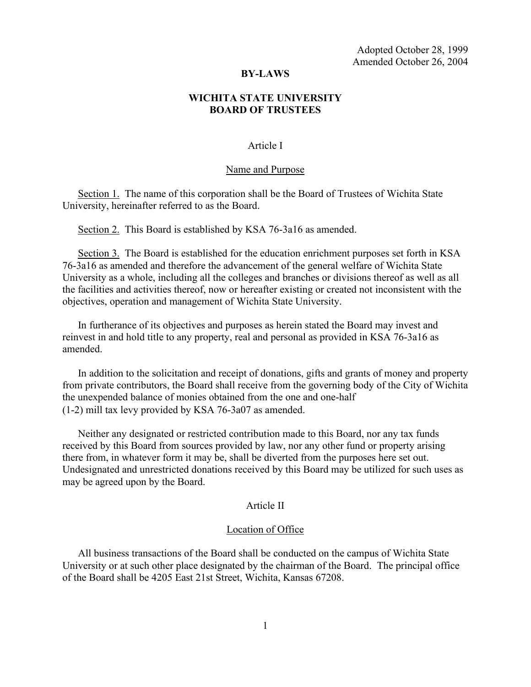Adopted October 28, 1999 Amended October 26, 2004

## **BY-LAWS**

# **WICHITA STATE UNIVERSITY BOARD OF TRUSTEES**

## Article I

#### Name and Purpose

Section 1. The name of this corporation shall be the Board of Trustees of Wichita State University, hereinafter referred to as the Board.

Section 2. This Board is established by KSA 76-3a16 as amended.

Section 3. The Board is established for the education enrichment purposes set forth in KSA 76-3a16 as amended and therefore the advancement of the general welfare of Wichita State University as a whole, including all the colleges and branches or divisions thereof as well as all the facilities and activities thereof, now or hereafter existing or created not inconsistent with the objectives, operation and management of Wichita State University.

In furtherance of its objectives and purposes as herein stated the Board may invest and reinvest in and hold title to any property, real and personal as provided in KSA 76-3a16 as amended.

In addition to the solicitation and receipt of donations, gifts and grants of money and property from private contributors, the Board shall receive from the governing body of the City of Wichita the unexpended balance of monies obtained from the one and one-half (1-2) mill tax levy provided by KSA 76-3a07 as amended.

Neither any designated or restricted contribution made to this Board, nor any tax funds received by this Board from sources provided by law, nor any other fund or property arising there from, in whatever form it may be, shall be diverted from the purposes here set out. Undesignated and unrestricted donations received by this Board may be utilized for such uses as may be agreed upon by the Board.

## Article II

#### Location of Office

All business transactions of the Board shall be conducted on the campus of Wichita State University or at such other place designated by the chairman of the Board. The principal office of the Board shall be 4205 East 21st Street, Wichita, Kansas 67208.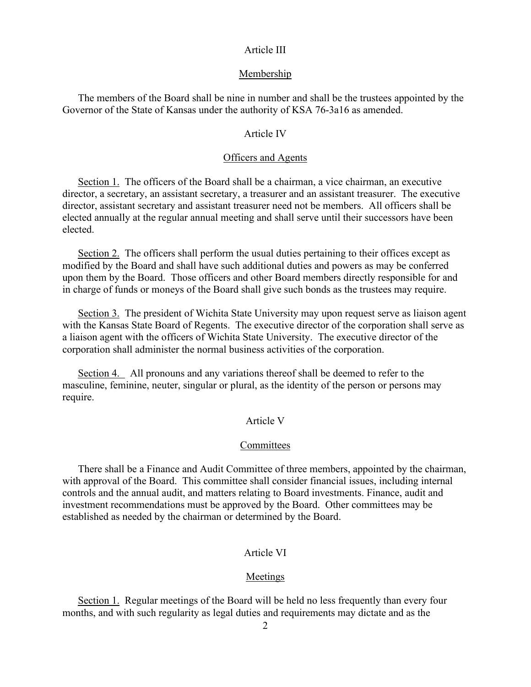## Article III

#### Membership

The members of the Board shall be nine in number and shall be the trustees appointed by the Governor of the State of Kansas under the authority of KSA 76-3a16 as amended.

## Article IV

## Officers and Agents

Section 1. The officers of the Board shall be a chairman, a vice chairman, an executive director, a secretary, an assistant secretary, a treasurer and an assistant treasurer. The executive director, assistant secretary and assistant treasurer need not be members. All officers shall be elected annually at the regular annual meeting and shall serve until their successors have been elected.

Section 2. The officers shall perform the usual duties pertaining to their offices except as modified by the Board and shall have such additional duties and powers as may be conferred upon them by the Board. Those officers and other Board members directly responsible for and in charge of funds or moneys of the Board shall give such bonds as the trustees may require.

Section 3. The president of Wichita State University may upon request serve as liaison agent with the Kansas State Board of Regents. The executive director of the corporation shall serve as a liaison agent with the officers of Wichita State University. The executive director of the corporation shall administer the normal business activities of the corporation.

Section 4. All pronouns and any variations thereof shall be deemed to refer to the masculine, feminine, neuter, singular or plural, as the identity of the person or persons may require.

## Article V

## **Committees**

There shall be a Finance and Audit Committee of three members, appointed by the chairman, with approval of the Board. This committee shall consider financial issues, including internal controls and the annual audit, and matters relating to Board investments. Finance, audit and investment recommendations must be approved by the Board. Other committees may be established as needed by the chairman or determined by the Board.

## Article VI

## Meetings

Section 1. Regular meetings of the Board will be held no less frequently than every four months, and with such regularity as legal duties and requirements may dictate and as the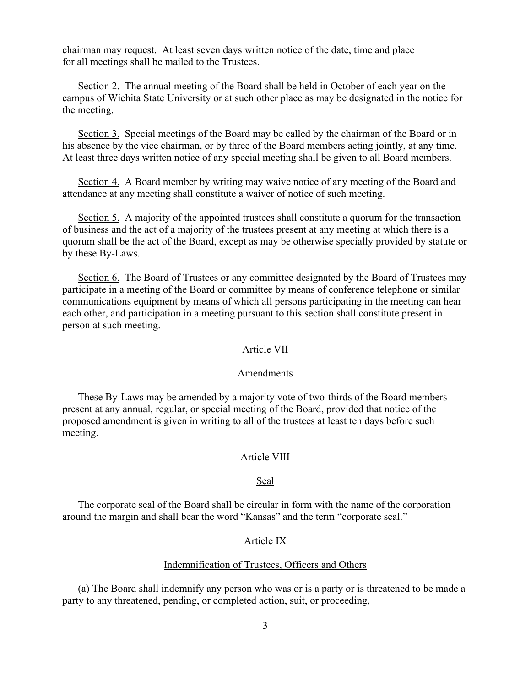chairman may request. At least seven days written notice of the date, time and place for all meetings shall be mailed to the Trustees.

Section 2. The annual meeting of the Board shall be held in October of each year on the campus of Wichita State University or at such other place as may be designated in the notice for the meeting.

Section 3. Special meetings of the Board may be called by the chairman of the Board or in his absence by the vice chairman, or by three of the Board members acting jointly, at any time. At least three days written notice of any special meeting shall be given to all Board members.

Section 4. A Board member by writing may waive notice of any meeting of the Board and attendance at any meeting shall constitute a waiver of notice of such meeting.

Section 5. A majority of the appointed trustees shall constitute a quorum for the transaction of business and the act of a majority of the trustees present at any meeting at which there is a quorum shall be the act of the Board, except as may be otherwise specially provided by statute or by these By-Laws.

Section 6. The Board of Trustees or any committee designated by the Board of Trustees may participate in a meeting of the Board or committee by means of conference telephone or similar communications equipment by means of which all persons participating in the meeting can hear each other, and participation in a meeting pursuant to this section shall constitute present in person at such meeting.

# Article VII

## Amendments

These By-Laws may be amended by a majority vote of two-thirds of the Board members present at any annual, regular, or special meeting of the Board, provided that notice of the proposed amendment is given in writing to all of the trustees at least ten days before such meeting.

## Article VIII

#### Seal

The corporate seal of the Board shall be circular in form with the name of the corporation around the margin and shall bear the word "Kansas" and the term "corporate seal."

### Article IX

## Indemnification of Trustees, Officers and Others

(a) The Board shall indemnify any person who was or is a party or is threatened to be made a party to any threatened, pending, or completed action, suit, or proceeding,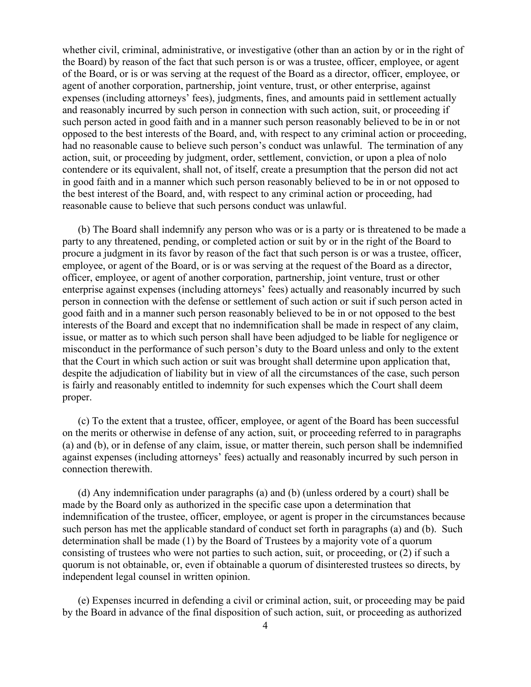whether civil, criminal, administrative, or investigative (other than an action by or in the right of the Board) by reason of the fact that such person is or was a trustee, officer, employee, or agent of the Board, or is or was serving at the request of the Board as a director, officer, employee, or agent of another corporation, partnership, joint venture, trust, or other enterprise, against expenses (including attorneys' fees), judgments, fines, and amounts paid in settlement actually and reasonably incurred by such person in connection with such action, suit, or proceeding if such person acted in good faith and in a manner such person reasonably believed to be in or not opposed to the best interests of the Board, and, with respect to any criminal action or proceeding, had no reasonable cause to believe such person's conduct was unlawful. The termination of any action, suit, or proceeding by judgment, order, settlement, conviction, or upon a plea of nolo contendere or its equivalent, shall not, of itself, create a presumption that the person did not act in good faith and in a manner which such person reasonably believed to be in or not opposed to the best interest of the Board, and, with respect to any criminal action or proceeding, had reasonable cause to believe that such persons conduct was unlawful.

(b) The Board shall indemnify any person who was or is a party or is threatened to be made a party to any threatened, pending, or completed action or suit by or in the right of the Board to procure a judgment in its favor by reason of the fact that such person is or was a trustee, officer, employee, or agent of the Board, or is or was serving at the request of the Board as a director, officer, employee, or agent of another corporation, partnership, joint venture, trust or other enterprise against expenses (including attorneys' fees) actually and reasonably incurred by such person in connection with the defense or settlement of such action or suit if such person acted in good faith and in a manner such person reasonably believed to be in or not opposed to the best interests of the Board and except that no indemnification shall be made in respect of any claim, issue, or matter as to which such person shall have been adjudged to be liable for negligence or misconduct in the performance of such person's duty to the Board unless and only to the extent that the Court in which such action or suit was brought shall determine upon application that, despite the adjudication of liability but in view of all the circumstances of the case, such person is fairly and reasonably entitled to indemnity for such expenses which the Court shall deem proper.

(c) To the extent that a trustee, officer, employee, or agent of the Board has been successful on the merits or otherwise in defense of any action, suit, or proceeding referred to in paragraphs (a) and (b), or in defense of any claim, issue, or matter therein, such person shall be indemnified against expenses (including attorneys' fees) actually and reasonably incurred by such person in connection therewith.

(d) Any indemnification under paragraphs (a) and (b) (unless ordered by a court) shall be made by the Board only as authorized in the specific case upon a determination that indemnification of the trustee, officer, employee, or agent is proper in the circumstances because such person has met the applicable standard of conduct set forth in paragraphs (a) and (b). Such determination shall be made (1) by the Board of Trustees by a majority vote of a quorum consisting of trustees who were not parties to such action, suit, or proceeding, or (2) if such a quorum is not obtainable, or, even if obtainable a quorum of disinterested trustees so directs, by independent legal counsel in written opinion.

(e) Expenses incurred in defending a civil or criminal action, suit, or proceeding may be paid by the Board in advance of the final disposition of such action, suit, or proceeding as authorized